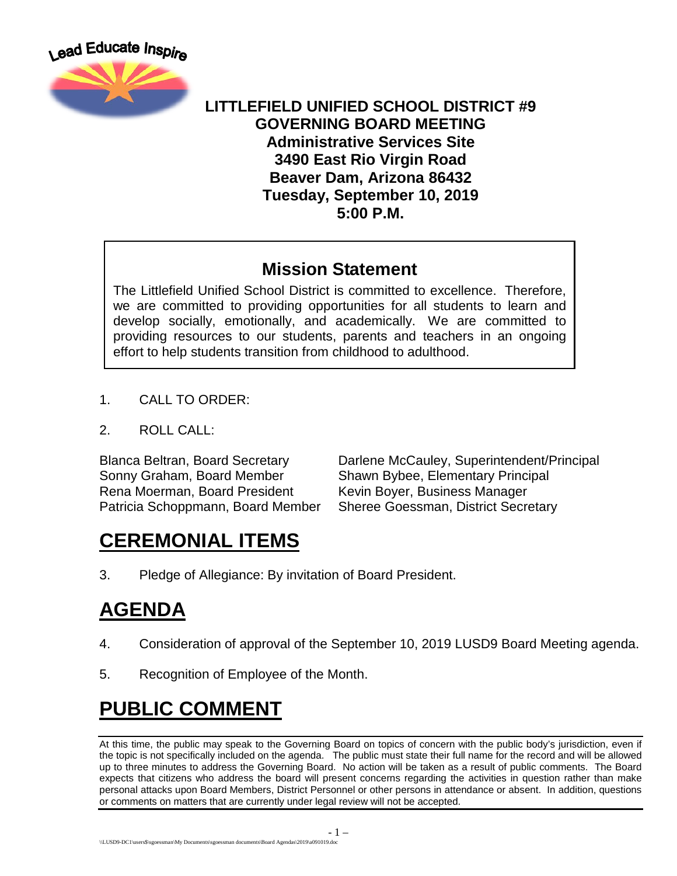

#### **LITTLEFIELD UNIFIED SCHOOL DISTRICT #9 GOVERNING BOARD MEETING Administrative Services Site 3490 East Rio Virgin Road Beaver Dam, Arizona 86432 Tuesday, September 10, 2019 5:00 P.M.**

#### **Mission Statement**

The Littlefield Unified School District is committed to excellence. Therefore, we are committed to providing opportunities for all students to learn and develop socially, emotionally, and academically. We are committed to providing resources to our students, parents and teachers in an ongoing effort to help students transition from childhood to adulthood.

- 1. CALL TO ORDER:
- 2. ROLL CALL:

Rena Moerman, Board President Kevin Boyer, Business Manager Patricia Schoppmann, Board Member Sheree Goessman, District Secretary

Blanca Beltran, Board Secretary Darlene McCauley, Superintendent/Principal<br>Sonny Graham, Board Member Shawn Bybee. Elementary Principal Shawn Bybee, Elementary Principal

## **CEREMONIAL ITEMS**

3. Pledge of Allegiance: By invitation of Board President.

# **AGENDA**

- 4. Consideration of approval of the September 10, 2019 LUSD9 Board Meeting agenda.
- 5. Recognition of Employee of the Month.

# **PUBLIC COMMENT**

At this time, the public may speak to the Governing Board on topics of concern with the public body's jurisdiction, even if the topic is not specifically included on the agenda. The public must state their full name for the record and will be allowed up to three minutes to address the Governing Board. No action will be taken as a result of public comments. The Board expects that citizens who address the board will present concerns regarding the activities in question rather than make personal attacks upon Board Members, District Personnel or other persons in attendance or absent. In addition, questions or comments on matters that are currently under legal review will not be accepted.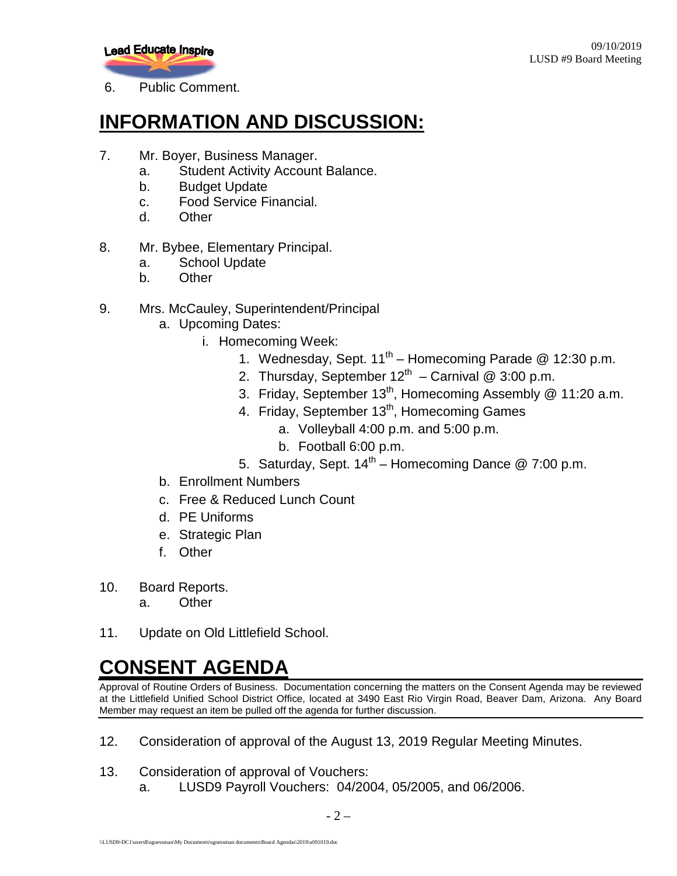

6. Public Comment.

## **INFORMATION AND DISCUSSION:**

- 7. Mr. Boyer, Business Manager.
	- a. Student Activity Account Balance.
	- b. Budget Update
	- c. Food Service Financial.
	- d. Other
- 8. Mr. Bybee, Elementary Principal.
	- a. School Update
	- b. Other
- 9. Mrs. McCauley, Superintendent/Principal
	- a. Upcoming Dates:
		- i. Homecoming Week:
			- 1. Wednesday, Sept.  $11^{th}$  Homecoming Parade @ 12:30 p.m.
			- 2. Thursday, September  $12^{th}$  Carnival @ 3:00 p.m.
			- 3. Friday, September 13<sup>th</sup>, Homecoming Assembly @ 11:20 a.m.
			- 4. Friday, September 13<sup>th</sup>, Homecoming Games
				- a. Volleyball 4:00 p.m. and 5:00 p.m.
				- b. Football 6:00 p.m.
			- 5. Saturday, Sept.  $14<sup>th</sup>$  Homecoming Dance @ 7:00 p.m.
	- b. Enrollment Numbers
	- c. Free & Reduced Lunch Count
	- d. PE Uniforms
	- e. Strategic Plan
	- f. Other
- 10. Board Reports.
	- a. Other
- 11. Update on Old Littlefield School.

### **CONSENT AGENDA**

Approval of Routine Orders of Business. Documentation concerning the matters on the Consent Agenda may be reviewed at the Littlefield Unified School District Office, located at 3490 East Rio Virgin Road, Beaver Dam, Arizona. Any Board Member may request an item be pulled off the agenda for further discussion.

- 12. Consideration of approval of the August 13, 2019 Regular Meeting Minutes.
- 13. Consideration of approval of Vouchers:
	- a. LUSD9 Payroll Vouchers: 04/2004, 05/2005, and 06/2006.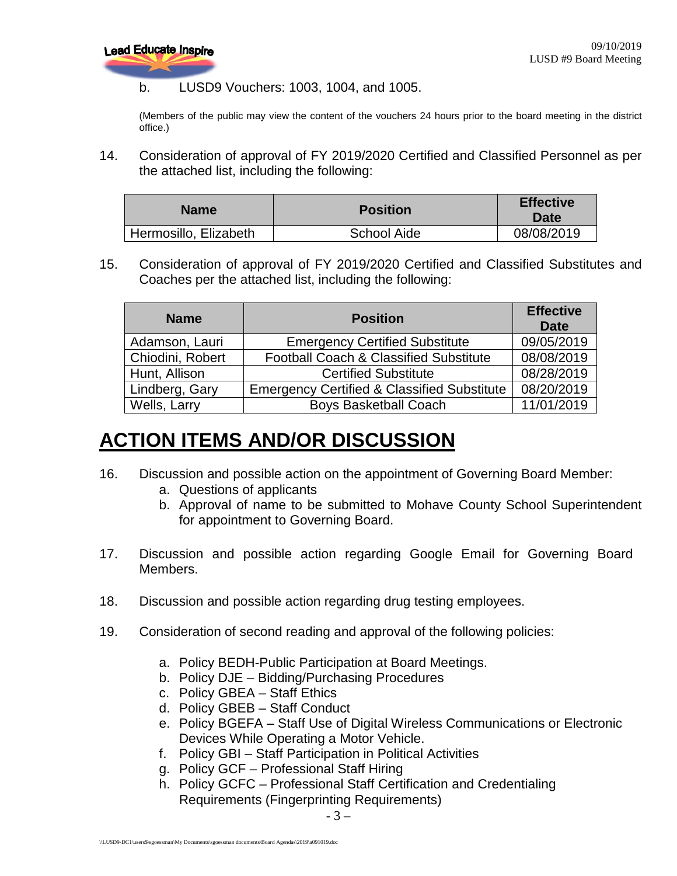

b. LUSD9 Vouchers: 1003, 1004, and 1005.

(Members of the public may view the content of the vouchers 24 hours prior to the board meeting in the district office.)

14. Consideration of approval of FY 2019/2020 Certified and Classified Personnel as per the attached list, including the following:

| <b>Name</b>           | <b>Position</b>    | <b>Effective</b><br><b>Date</b> |
|-----------------------|--------------------|---------------------------------|
| Hermosillo, Elizabeth | <b>School Aide</b> | 08/08/2019                      |

15. Consideration of approval of FY 2019/2020 Certified and Classified Substitutes and Coaches per the attached list, including the following:

| <b>Name</b>      | <b>Position</b>                                        | <b>Effective</b><br><b>Date</b> |
|------------------|--------------------------------------------------------|---------------------------------|
| Adamson, Lauri   | <b>Emergency Certified Substitute</b>                  | 09/05/2019                      |
| Chiodini, Robert | Football Coach & Classified Substitute                 | 08/08/2019                      |
| Hunt, Allison    | <b>Certified Substitute</b>                            | 08/28/2019                      |
| Lindberg, Gary   | <b>Emergency Certified &amp; Classified Substitute</b> | 08/20/2019                      |
| Wells, Larry     | <b>Boys Basketball Coach</b>                           | 11/01/2019                      |

## **ACTION ITEMS AND/OR DISCUSSION**

- 16. Discussion and possible action on the appointment of Governing Board Member:
	- a. Questions of applicants
	- b. Approval of name to be submitted to Mohave County School Superintendent for appointment to Governing Board.
- 17. Discussion and possible action regarding Google Email for Governing Board Members.
- 18. Discussion and possible action regarding drug testing employees.
- 19. Consideration of second reading and approval of the following policies:
	- a. Policy BEDH-Public Participation at Board Meetings.
	- b. Policy DJE Bidding/Purchasing Procedures
	- c. Policy GBEA Staff Ethics
	- d. Policy GBEB Staff Conduct
	- e. Policy BGEFA Staff Use of Digital Wireless Communications or Electronic Devices While Operating a Motor Vehicle.
	- f. Policy GBI Staff Participation in Political Activities
	- g. Policy GCF Professional Staff Hiring
	- h. Policy GCFC Professional Staff Certification and Credentialing Requirements (Fingerprinting Requirements)